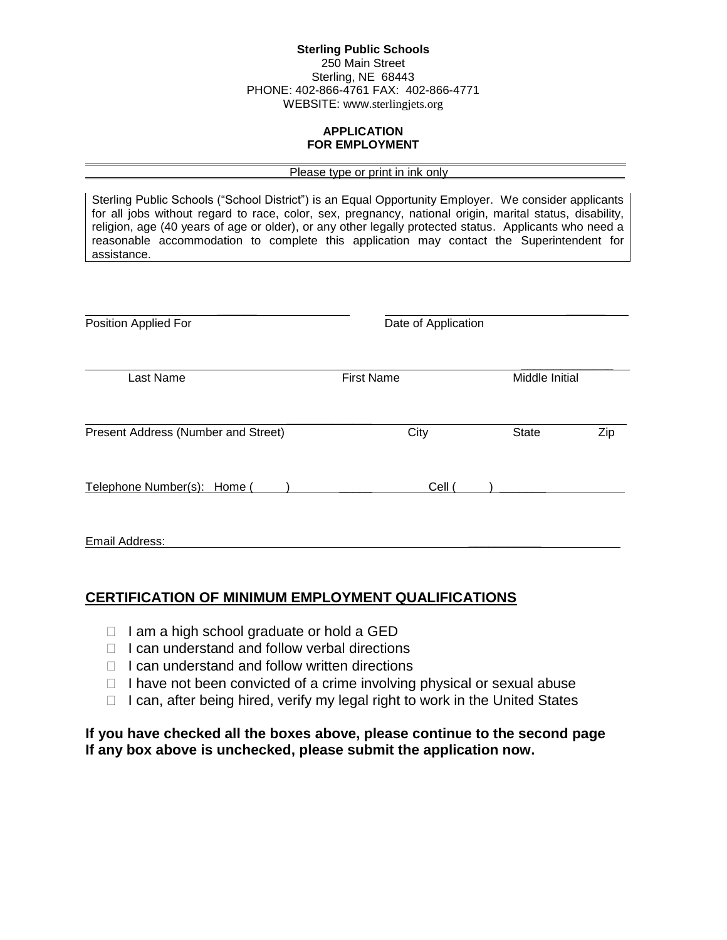#### **Sterling Public Schools** 250 Main Street Sterling, NE 68443 PHONE: 402-866-4761 FAX: 402-866-4771 WEBSITE: www.sterlingjets.org

# **APPLICATION FOR EMPLOYMENT**

#### Please type or print in ink only

Sterling Public Schools ("School District") is an Equal Opportunity Employer. We consider applicants for all jobs without regard to race, color, sex, pregnancy, national origin, marital status, disability, religion, age (40 years of age or older), or any other legally protected status. Applicants who need a reasonable accommodation to complete this application may contact the Superintendent for assistance.

| Position Applied For                | Date of Application |                |     |
|-------------------------------------|---------------------|----------------|-----|
| Last Name                           | <b>First Name</b>   | Middle Initial |     |
| Present Address (Number and Street) | City                | <b>State</b>   | Zip |
| Telephone Number(s): Home (         | Cell (              |                |     |
| Email Address:                      |                     |                |     |

# **CERTIFICATION OF MINIMUM EMPLOYMENT QUALIFICATIONS**

 $\Box$  I am a high school graduate or hold a GED

 $\overline{a}$ 

- $\Box$  I can understand and follow verbal directions
- $\Box$  I can understand and follow written directions
- $\Box$  I have not been convicted of a crime involving physical or sexual abuse
- $\Box$  I can, after being hired, verify my legal right to work in the United States

# **If you have checked all the boxes above, please continue to the second page If any box above is unchecked, please submit the application now.**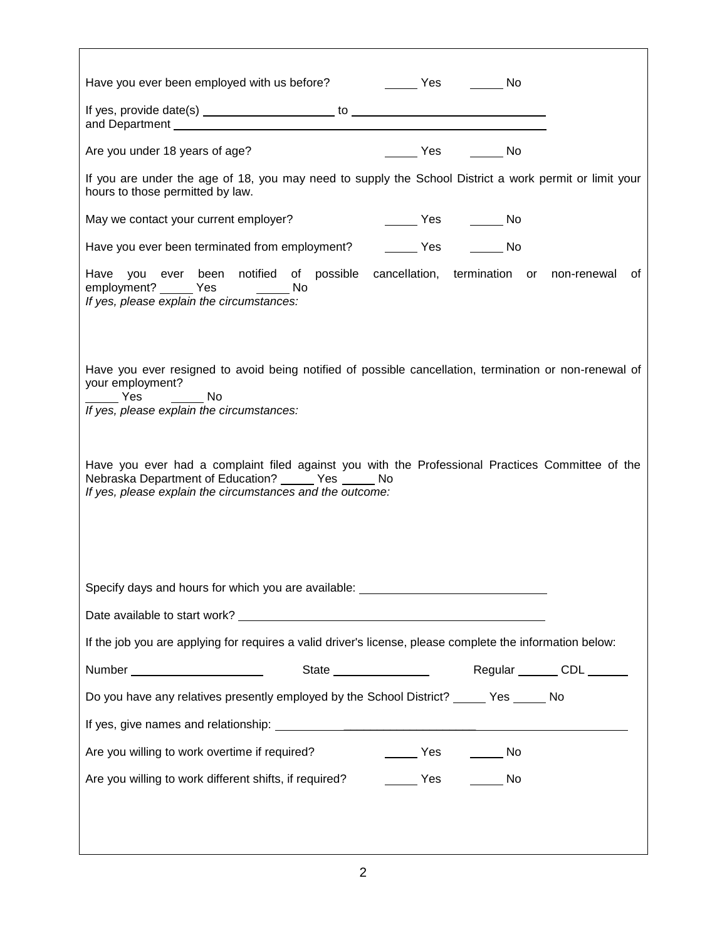| Are you under 18 years of age?<br>No Nestangling State State State State State State State State State State State State State State State State                                                                                      |
|---------------------------------------------------------------------------------------------------------------------------------------------------------------------------------------------------------------------------------------|
| If you are under the age of 18, you may need to supply the School District a work permit or limit your<br>hours to those permitted by law.                                                                                            |
| May we contact your current employer?<br>______ Yes _______ No                                                                                                                                                                        |
| Have you ever been terminated from employment? __________ Yes _________ No                                                                                                                                                            |
| Have you ever been notified of possible cancellation, termination or non-renewal<br>ot<br>employment? ______ Yes ________ No<br>If yes, please explain the circumstances:                                                             |
| Have you ever resigned to avoid being notified of possible cancellation, termination or non-renewal of<br>your employment?<br>$\rule{1em}{0.15mm}$ Yes<br>$\overline{\phantom{a}}$ No<br>If yes, please explain the circumstances:    |
| Have you ever had a complaint filed against you with the Professional Practices Committee of the<br>Nebraska Department of Education? ______ Yes ______ No<br>If yes, please explain the circumstances and the outcome:               |
| Specify days and hours for which you are available: ____________________________                                                                                                                                                      |
| Date available to start work?<br><u> and the second contract work</u> and the second contract of the second contract of the second contract of the second contract of the second contract of the second contract of the second contra |
| If the job you are applying for requires a valid driver's license, please complete the information below:                                                                                                                             |
| State ___________________  Regular _______ CDL ______<br>Number _________________________                                                                                                                                             |
| Do you have any relatives presently employed by the School District? _____ Yes _____ No                                                                                                                                               |
|                                                                                                                                                                                                                                       |
| Are you willing to work overtime if required?<br>______ Yes _______ No                                                                                                                                                                |
| Are you willing to work different shifts, if required? ________ Yes ________ No                                                                                                                                                       |
|                                                                                                                                                                                                                                       |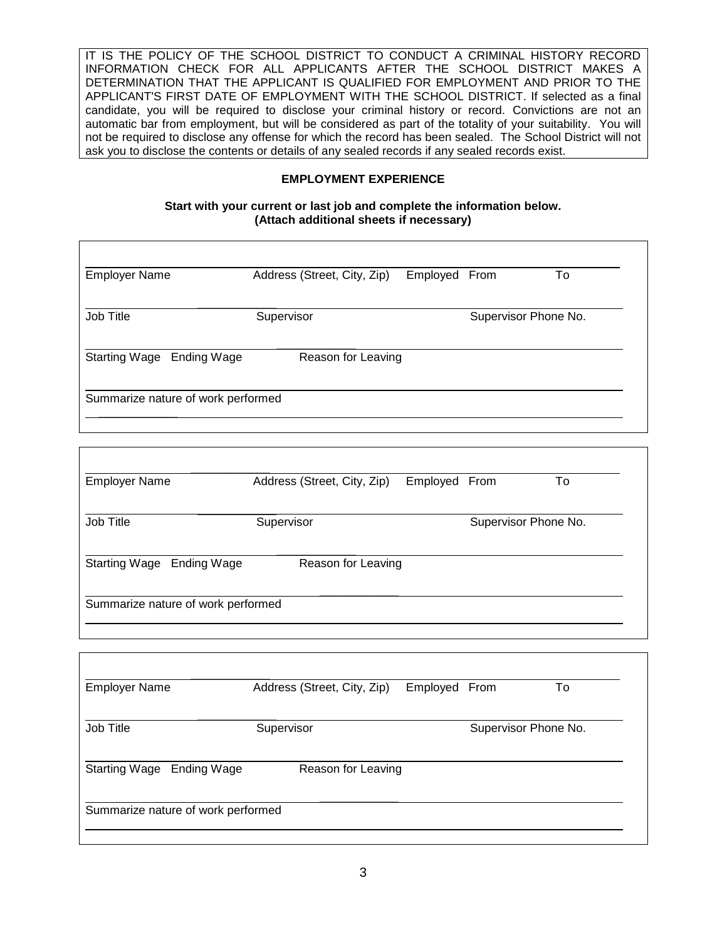IT IS THE POLICY OF THE SCHOOL DISTRICT TO CONDUCT A CRIMINAL HISTORY RECORD INFORMATION CHECK FOR ALL APPLICANTS AFTER THE SCHOOL DISTRICT MAKES A DETERMINATION THAT THE APPLICANT IS QUALIFIED FOR EMPLOYMENT AND PRIOR TO THE APPLICANT'S FIRST DATE OF EMPLOYMENT WITH THE SCHOOL DISTRICT. If selected as a final candidate, you will be required to disclose your criminal history or record. Convictions are not an automatic bar from employment, but will be considered as part of the totality of your suitability. You will not be required to disclose any offense for which the record has been sealed. The School District will not ask you to disclose the contents or details of any sealed records if any sealed records exist.

## **EMPLOYMENT EXPERIENCE**

#### **Start with your current or last job and complete the information below. (Attach additional sheets if necessary)**

| <b>Employer Name</b>               | Address (Street, City, Zip) | Employed From |      | To                   |
|------------------------------------|-----------------------------|---------------|------|----------------------|
| Job Title                          | Supervisor                  |               |      | Supervisor Phone No. |
| Starting Wage Ending Wage          | Reason for Leaving          |               |      |                      |
| Summarize nature of work performed |                             |               |      |                      |
|                                    |                             |               |      |                      |
| <b>Employer Name</b>               | Address (Street, City, Zip) | Employed      | From | To                   |
|                                    |                             |               |      |                      |
| Job Title                          | Supervisor                  |               |      | Supervisor Phone No. |

| <b>Employer Name</b>               | Address (Street, City, Zip)<br>Employed From |  |                      | To |
|------------------------------------|----------------------------------------------|--|----------------------|----|
| Job Title                          | Supervisor                                   |  | Supervisor Phone No. |    |
| Starting Wage Ending Wage          | Reason for Leaving                           |  |                      |    |
| Summarize nature of work performed |                                              |  |                      |    |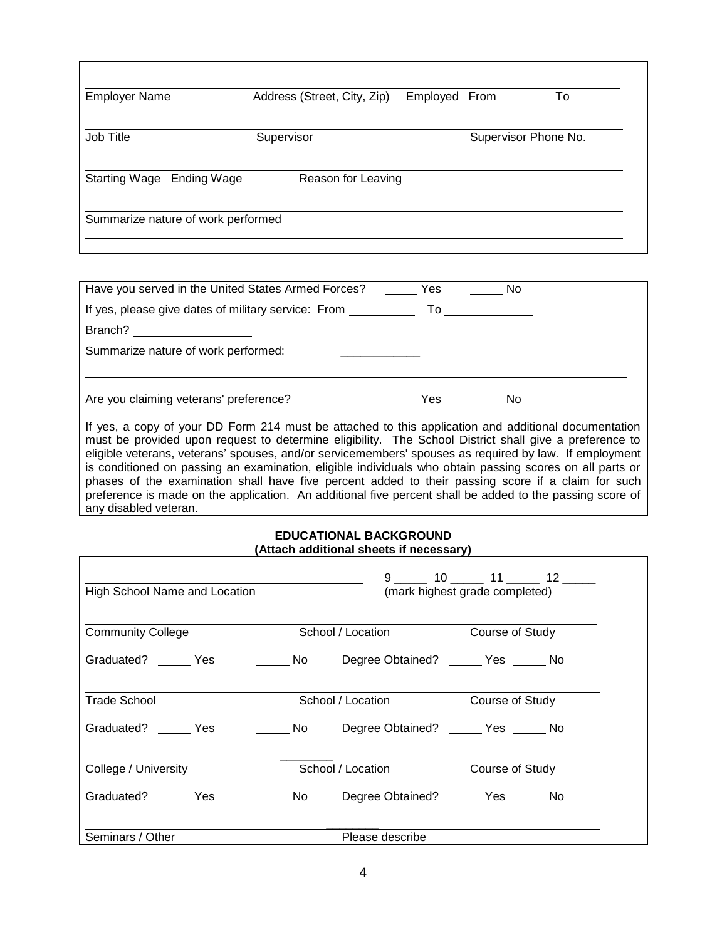| <b>Employer Name</b>               | Address (Street, City, Zip) | Employed From |  | To |
|------------------------------------|-----------------------------|---------------|--|----|
| Job Title                          | Supervisor                  |               |  |    |
| Starting Wage Ending Wage          | Reason for Leaving          |               |  |    |
| Summarize nature of work performed |                             |               |  |    |

| Have you served in the United States Armed Forces?  | Yes | No                                                                                                                                                                                                                             |  |
|-----------------------------------------------------|-----|--------------------------------------------------------------------------------------------------------------------------------------------------------------------------------------------------------------------------------|--|
| If yes, please give dates of military service: From |     | To the contract of the contract of the contract of the contract of the contract of the contract of the contract of the contract of the contract of the contract of the contract of the contract of the contract of the contrac |  |
|                                                     |     |                                                                                                                                                                                                                                |  |
| Summarize nature of work performed:                 |     |                                                                                                                                                                                                                                |  |
|                                                     |     |                                                                                                                                                                                                                                |  |
| Are you claiming veterans' preference?              | Yes | No                                                                                                                                                                                                                             |  |

If yes, a copy of your DD Form 214 must be attached to this application and additional documentation must be provided upon request to determine eligibility. The School District shall give a preference to eligible veterans, veterans' spouses, and/or servicemembers' spouses as required by law. If employment is conditioned on passing an examination, eligible individuals who obtain passing scores on all parts or phases of the examination shall have five percent added to their passing score if a claim for such preference is made on the application. An additional five percent shall be added to the passing score of any disabled veteran.

#### **EDUCATIONAL BACKGROUND (Attach additional sheets if necessary)**

| High School Name and Location |  | 9 10 11 12<br>(mark highest grade completed)                                                                   |  |  |
|-------------------------------|--|----------------------------------------------------------------------------------------------------------------|--|--|
| <b>Community College</b>      |  | School / Location Course of Study                                                                              |  |  |
|                               |  | No Degree Obtained? Canada State State State State State State State State State State State State State State |  |  |
| Trade School                  |  | School / Location Course of Study                                                                              |  |  |
| Graduated? Yes                |  | No Degree Obtained? _____ Yes _____ No                                                                         |  |  |
| College / University          |  | School / Location Course of Study                                                                              |  |  |
| Graduated? ______ Yes         |  | No Degree Obtained? No No No                                                                                   |  |  |
| Seminars / Other              |  | Please describe                                                                                                |  |  |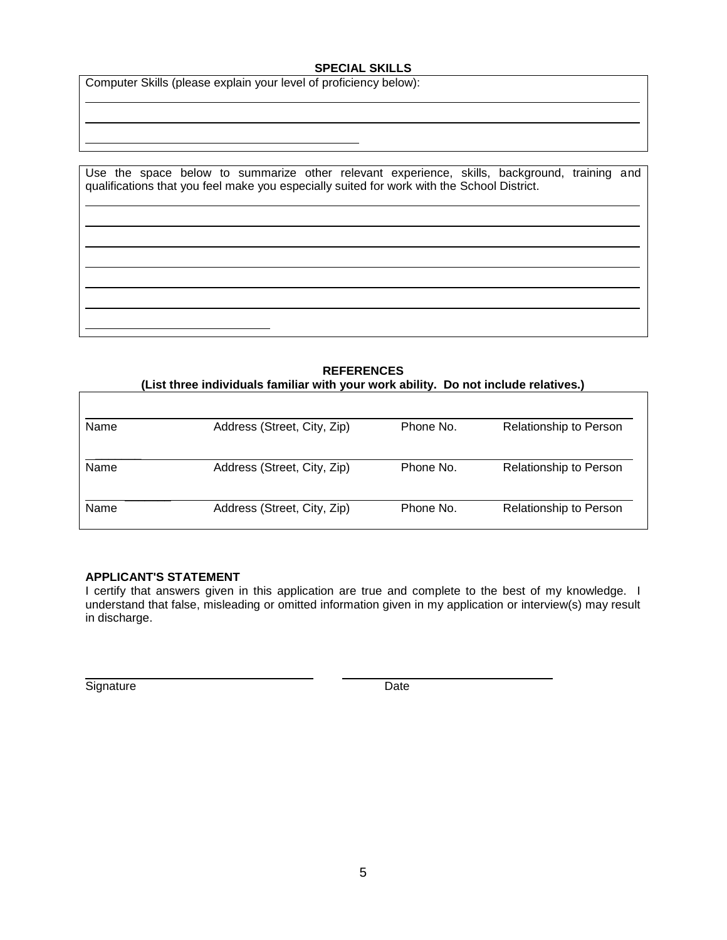#### **SPECIAL SKILLS**

Computer Skills (please explain your level of proficiency below):

| Use the space below to summarize other relevant experience, skills, background, training and |  |
|----------------------------------------------------------------------------------------------|--|
|                                                                                              |  |
| qualifications that you feel make you especially suited for work with the School District.   |  |
|                                                                                              |  |
|                                                                                              |  |
|                                                                                              |  |
|                                                                                              |  |
|                                                                                              |  |
|                                                                                              |  |
|                                                                                              |  |
|                                                                                              |  |
|                                                                                              |  |
|                                                                                              |  |
|                                                                                              |  |
|                                                                                              |  |
|                                                                                              |  |
|                                                                                              |  |
|                                                                                              |  |

**REFERENCES (List three individuals familiar with your work ability. Do not include relatives.)**

| Name | Address (Street, City, Zip) | Phone No. | Relationship to Person |
|------|-----------------------------|-----------|------------------------|
| Name | Address (Street, City, Zip) | Phone No. | Relationship to Person |
| Name | Address (Street, City, Zip) | Phone No. | Relationship to Person |

#### **APPLICANT'S STATEMENT**

I certify that answers given in this application are true and complete to the best of my knowledge. I understand that false, misleading or omitted information given in my application or interview(s) may result in discharge.

Signature Date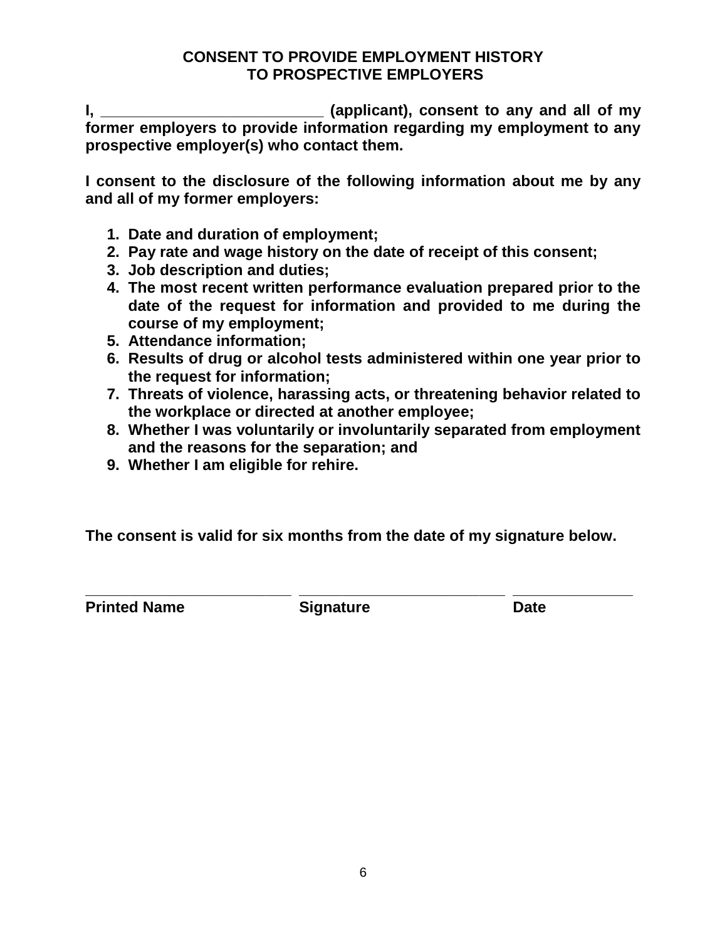# **CONSENT TO PROVIDE EMPLOYMENT HISTORY TO PROSPECTIVE EMPLOYERS**

**I, \_\_\_\_\_\_\_\_\_\_\_\_\_\_\_\_\_\_\_\_\_\_\_\_\_\_ (applicant), consent to any and all of my former employers to provide information regarding my employment to any prospective employer(s) who contact them.**

**I consent to the disclosure of the following information about me by any and all of my former employers:** 

- **1. Date and duration of employment;**
- **2. Pay rate and wage history on the date of receipt of this consent;**
- **3. Job description and duties;**
- **4. The most recent written performance evaluation prepared prior to the date of the request for information and provided to me during the course of my employment;**
- **5. Attendance information;**
- **6. Results of drug or alcohol tests administered within one year prior to the request for information;**
- **7. Threats of violence, harassing acts, or threatening behavior related to the workplace or directed at another employee;**
- **8. Whether I was voluntarily or involuntarily separated from employment and the reasons for the separation; and**
- **9. Whether I am eligible for rehire.**

**The consent is valid for six months from the date of my signature below.**

**\_\_\_\_\_\_\_\_\_\_\_\_\_\_\_\_\_\_\_\_\_\_\_\_ \_\_\_\_\_\_\_\_\_\_\_\_\_\_\_\_\_\_\_\_\_\_\_\_ \_\_\_\_\_\_\_\_\_\_\_\_\_\_ Printed Name Signature Date**